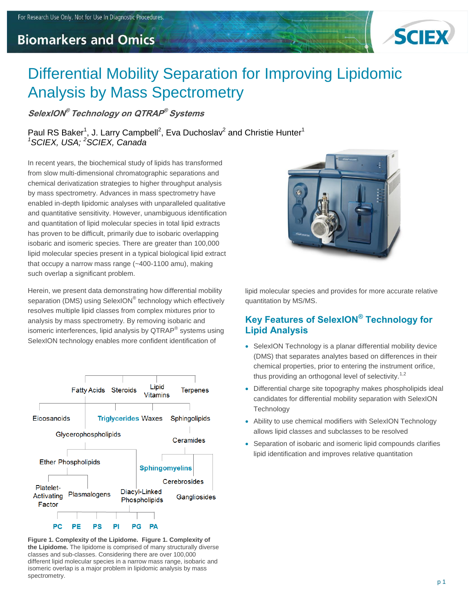# **Biomarkers and Omics**



# Differential Mobility Separation for Improving Lipidomic Analysis by Mass Spectrometry

**SelexION ® Technology on QTRAP ® Systems**

Paul RS Baker<sup>1</sup>, J. Larry Campbell<sup>2</sup>, Eva Duchoslav<sup>2</sup> and Christie Hunter<sup>1</sup> *<sup>1</sup>SCIEX, USA; <sup>2</sup>SCIEX, Canada*

In recent years, the biochemical study of lipids has transformed from slow multi-dimensional chromatographic separations and chemical derivatization strategies to higher throughput analysis by mass spectrometry. Advances in mass spectrometry have enabled in-depth lipidomic analyses with unparalleled qualitative and quantitative sensitivity. However, unambiguous identification and quantitation of lipid molecular species in total lipid extracts has proven to be difficult, primarily due to isobaric overlapping isobaric and isomeric species. There are greater than 100,000 lipid molecular species present in a typical biological lipid extract that occupy a narrow mass range (~400-1100 amu), making such overlap a significant problem.

Herein, we present data demonstrating how differential mobility separation (DMS) using SelexION® technology which effectively resolves multiple lipid classes from complex mixtures prior to analysis by mass spectrometry. By removing isobaric and isomeric interferences, lipid analysis by QTRAP® systems using SelexION technology enables more confident identification of



**Figure 1. Complexity of the Lipidome. Figure 1. Complexity of the Lipidome.** The lipidome is comprised of many structurally diverse classes and sub-classes. Considering there are over 100,000 different lipid molecular species in a narrow mass range, isobaric and isomeric overlap is a major problem in lipidomic analysis by mass spectrometry.



lipid molecular species and provides for more accurate relative quantitation by MS/MS.

# **Key Features of SelexION® Technology for Lipid Analysis**

- SelexION Technology is a planar differential mobility device (DMS) that separates analytes based on differences in their chemical properties, prior to entering the instrument orifice, thus providing an orthogonal level of selectivity.<sup>1,2</sup>
- Differential charge site topography makes phospholipids ideal candidates for differential mobility separation with SelexION **Technology**
- Ability to use chemical modifiers with SelexION Technology allows lipid classes and subclasses to be resolved
- Separation of isobaric and isomeric lipid compounds clarifies lipid identification and improves relative quantitation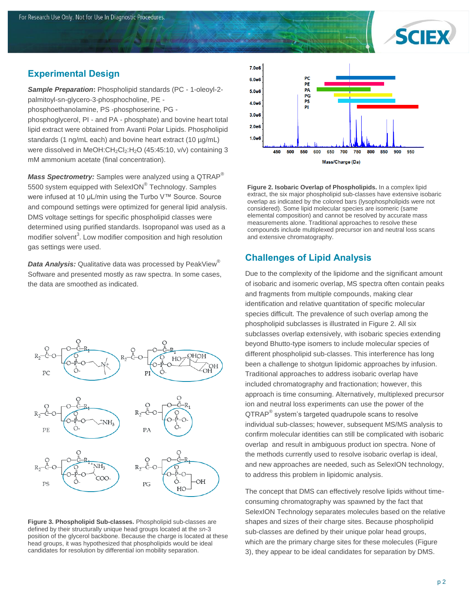

#### **Experimental Design**

*Sample Preparation***:** Phospholipid standards (PC - 1-oleoyl-2 palmitoyl-sn-glycero-3-phosphocholine, PE -

phosphoethanolamine, PS -phosphoserine, PG -

phosphoglycerol, PI - and PA - phosphate) and bovine heart total lipid extract were obtained from Avanti Polar Lipids. Phospholipid standards (1 ng/mL each) and bovine heart extract (10 µg/mL) were dissolved in MeOH:CH<sub>2</sub>Cl<sub>2</sub>:H<sub>2</sub>O (45:45:10, v/v) containing 3 mM ammonium acetate (final concentration).

*Mass Spectrometry:* Samples were analyzed using a QTRAP® 5500 system equipped with SelexION® Technology. Samples were infused at 10 µL/min using the Turbo V™ Source. Source and compound settings were optimized for general lipid analysis. DMS voltage settings for specific phospholipid classes were determined using purified standards. Isopropanol was used as a modifier solvent<sup>3</sup>. Low modifier composition and high resolution gas settings were used.

*Data Analysis:* Qualitative data was processed by PeakView® Software and presented mostly as raw spectra. In some cases, the data are smoothed as indicated.



**Figure 3. Phospholipid Sub-classes.** Phospholipid sub-classes are defined by their structurally unique head groups located at the *sn*-3 position of the glycerol backbone. Because the charge is located at these head groups, it was hypothesized that phospholipids would be ideal candidates for resolution by differential ion mobility separation.



**Figure 2. Isobaric Overlap of Phospholipids.** In a complex lipid extract, the six major phospholipid sub-classes have extensive isobaric overlap as indicated by the colored bars (lysophospholipids were not considered). Some lipid molecular species are isomeric (same elemental composition) and cannot be resolved by accurate mass measurements alone. Traditional approaches to resolve these compounds include multiplexed precursor ion and neutral loss scans and extensive chromatography.

# **Challenges of Lipid Analysis**

Due to the complexity of the lipidome and the significant amount of isobaric and isomeric overlap, MS spectra often contain peaks and fragments from multiple compounds, making clear identification and relative quantitation of specific molecular species difficult. The prevalence of such overlap among the phospholipid subclasses is illustrated in Figure 2. All six subclasses overlap extensively, with isobaric species extending beyond Bhutto-type isomers to include molecular species of different phospholipid sub-classes. This interference has long been a challenge to shotgun lipidomic approaches by infusion. Traditional approaches to address isobaric overlap have included chromatography and fractionation; however, this approach is time consuming. Alternatively, multiplexed precursor ion and neutral loss experiments can use the power of the QTRAP<sup>®</sup> system's targeted quadrupole scans to resolve individual sub-classes; however, subsequent MS/MS analysis to confirm molecular identities can still be complicated with isobaric overlap and result in ambiguous product ion spectra. None of the methods currently used to resolve isobaric overlap is ideal, and new approaches are needed, such as SelexION technology, to address this problem in lipidomic analysis.

The concept that DMS can effectively resolve lipids without timeconsuming chromatography was spawned by the fact that SelexION Technology separates molecules based on the relative shapes and sizes of their charge sites. Because phospholipid sub-classes are defined by their unique polar head groups, which are the primary charge sites for these molecules (Figure 3), they appear to be ideal candidates for separation by DMS.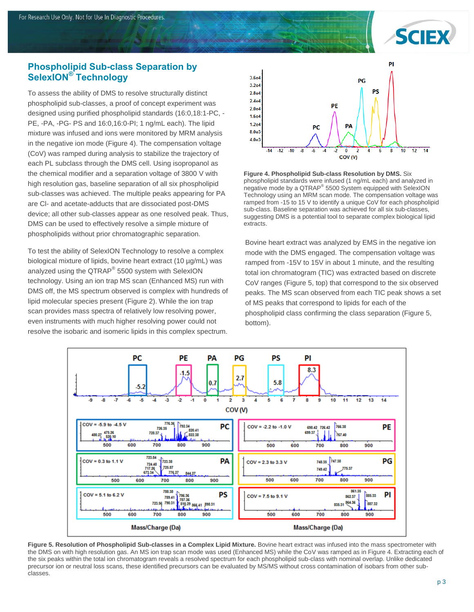

#### **Phospholipid Sub-class Separation by SelexION® Technology**

To assess the ability of DMS to resolve structurally distinct phospholipid sub-classes, a proof of concept experiment was designed using purified phospholipid standards (16:0,18:1-PC, - PE, -PA, -PG- PS and 16:0,16:0-PI; 1 ng/mL each). The lipid mixture was infused and ions were monitored by MRM analysis in the negative ion mode (Figure 4). The compensation voltage (CoV) was ramped during analysis to stabilize the trajectory of each PL subclass through the DMS cell. Using isopropanol as the chemical modifier and a separation voltage of 3800 V with high resolution gas, baseline separation of all six phospholipid sub-classes was achieved. The multiple peaks appearing for PA are Cl- and acetate-adducts that are dissociated post-DMS device; all other sub-classes appear as one resolved peak. Thus, DMS can be used to effectively resolve a simple mixture of phospholipids without prior chromatographic separation.

To test the ability of SelexION Technology to resolve a complex biological mixture of lipids, bovine heart extract (10 µg/mL) was analyzed using the QTRAP $^{\circ}$  5500 system with SelexION technology. Using an ion trap MS scan (Enhanced MS) run with DMS off, the MS spectrum observed is complex with hundreds of lipid molecular species present (Figure 2). While the ion trap scan provides mass spectra of relatively low resolving power, even instruments with much higher resolving power could not resolve the isobaric and isomeric lipids in this complex spectrum.



**Figure 4. Phospholipid Sub-class Resolution by DMS.** Six phospholipid standards were infused (1 ng/mL each) and analyzed in negative mode by a QTRAP<sup>®</sup> 5500 System equipped with SelexION Technology using an MRM scan mode. The compensation voltage was ramped from -15 to 15 V to identify a unique CoV for each phospholipid sub-class. Baseline separation was achieved for all six sub-classes, suggesting DMS is a potential tool to separate complex biological lipid extracts.

Bovine heart extract was analyzed by EMS in the negative ion mode with the DMS engaged. The compensation voltage was ramped from -15V to 15V in about 1 minute, and the resulting total ion chromatogram (TIC) was extracted based on discrete CoV ranges (Figure 5, top) that correspond to the six observed peaks. The MS scan observed from each TIC peak shows a set of MS peaks that correspond to lipids for each of the phospholipid class confirming the class separation (Figure 5, bottom).



**Figure 5. Resolution of Phospholipid Sub-classes in a Complex Lipid Mixture.** Bovine heart extract was infused into the mass spectrometer with the DMS on with high resolution gas. An MS ion trap scan mode was used (Enhanced MS) while the CoV was ramped as in Figure 4. Extracting each of the six peaks within the total ion chromatogram reveals a resolved spectrum for each phospholipid sub-class with nominal overlap. Unlike dedicated precursor ion or neutral loss scans, these identified precursors can be evaluated by MS/MS without cross contamination of isobars from other subclasses.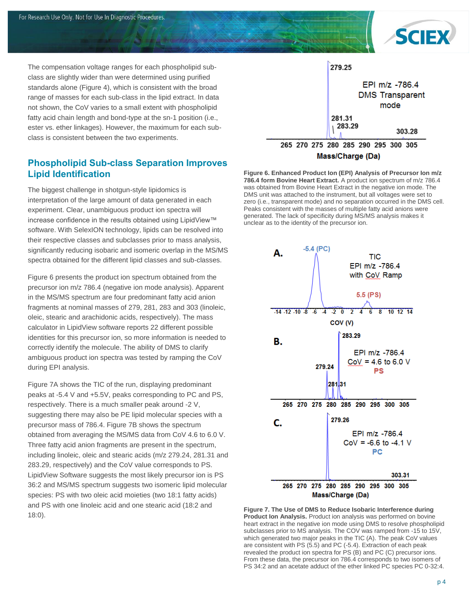

The compensation voltage ranges for each phospholipid subclass are slightly wider than were determined using purified standards alone (Figure 4), which is consistent with the broad range of masses for each sub-class in the lipid extract. In data not shown, the CoV varies to a small extent with phospholipid fatty acid chain length and bond-type at the sn-1 position (i.e., ester vs. ether linkages). However, the maximum for each subclass is consistent between the two experiments.

#### **Phospholipid Sub-class Separation Improves Lipid Identification**

The biggest challenge in shotgun-style lipidomics is interpretation of the large amount of data generated in each experiment. Clear, unambiguous product ion spectra will increase confidence in the results obtained using LipidView™ software. With SelexION technology, lipids can be resolved into their respective classes and subclasses prior to mass analysis, significantly reducing isobaric and isomeric overlap in the MS/MS spectra obtained for the different lipid classes and sub-classes.

Figure 6 presents the product ion spectrum obtained from the precursor ion m/z 786.4 (negative ion mode analysis). Apparent in the MS/MS spectrum are four predominant fatty acid anion fragments at nominal masses of 279, 281, 283 and 303 (linoleic, oleic, stearic and arachidonic acids, respectively). The mass calculator in LipidView software reports 22 different possible identities for this precursor ion, so more information is needed to correctly identify the molecule. The ability of DMS to clarify ambiguous product ion spectra was tested by ramping the CoV during EPI analysis.

Figure 7A shows the TIC of the run, displaying predominant peaks at -5.4 V and +5.5V, peaks corresponding to PC and PS, respectively. There is a much smaller peak around -2 V, suggesting there may also be PE lipid molecular species with a precursor mass of 786.4. Figure 7B shows the spectrum obtained from averaging the MS/MS data from CoV 4.6 to 6.0 V. Three fatty acid anion fragments are present in the spectrum, including linoleic, oleic and stearic acids (m/z 279.24, 281.31 and 283.29, respectively) and the CoV value corresponds to PS. LipidView Software suggests the most likely precursor ion is PS 36:2 and MS/MS spectrum suggests two isomeric lipid molecular species: PS with two oleic acid moieties (two 18:1 fatty acids) and PS with one linoleic acid and one stearic acid (18:2 and 18:0).



Mass/Charge (Da)

**Figure 6. Enhanced Product Ion (EPI) Analysis of Precursor Ion m/z 786.4 form Bovine Heart Extract.** A product ion spectrum of m/z 786.4 was obtained from Bovine Heart Extract in the negative ion mode. The DMS unit was attached to the instrument, but all voltages were set to zero (i.e., transparent mode) and no separation occurred in the DMS cell. Peaks consistent with the masses of multiple fatty acid anions were generated. The lack of specificity during MS/MS analysis makes it unclear as to the identity of the precursor ion.



**Figure 7. The Use of DMS to Reduce Isobaric Interference during Product Ion Analysis.** Product ion analysis was performed on bovine heart extract in the negative ion mode using DMS to resolve phospholipid subclasses prior to MS analysis. The COV was ramped from -15 to 15V, which generated two major peaks in the TIC (A). The peak CoV values are consistent with PS (5.5) and PC (-5.4). Extraction of each peak revealed the product ion spectra for PS (B) and PC (C) precursor ions. From these data, the precursor ion 786.4 corresponds to two isomers of PS 34:2 and an acetate adduct of the ether linked PC species PC 0-32:4.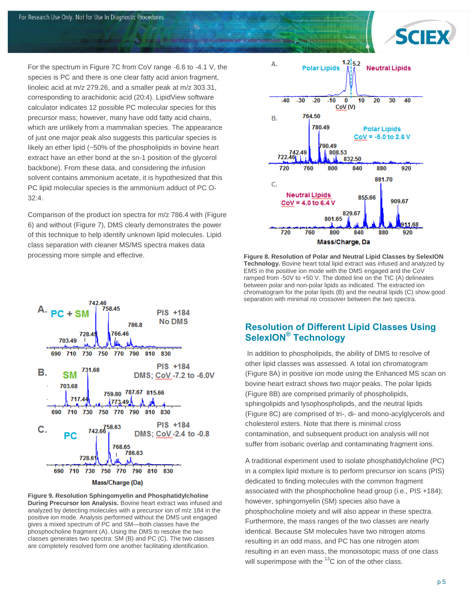

For the spectrum in Figure 7C from CoV range -6.6 to -4.1 V, the species is PC and there is one clear fatty acid anion fragment, linoleic acid at m/z 279.26, and a smaller peak at m/z 303.31, corresponding to arachidonic acid (20:4). LipidView software calculator indicates 12 possible PC molecular species for this precursor mass; however, many have odd fatty acid chains, which are unlikely from a mammalian species. The appearance of just one major peak also suggests this particular species is likely an ether lipid (~50% of the phospholipids in bovine heart extract have an ether bond at the sn-1 position of the glycerol backbone). From these data, and considering the infusion solvent contains ammonium acetate, it is hypothesized that this PC lipid molecular species is the ammonium adduct of PC O-32:4.

Comparison of the product ion spectra for m/z 786.4 with (Figure 6) and without (Figure 7), DMS clearly demonstrates the power of this technique to help identify unknown lipid molecules. Lipid class separation with cleaner MS/MS spectra makes data processing more simple and effective.



**Figure 9. Resolution Sphingomyelin and Phosphatidylcholine During Precursor Ion Analysis.** Bovine heart extract was infused and analyzed by detecting molecules with a precursor ion of m/z 184 in the

positive ion mode. Analysis performed without the DMS unit engaged gives a mixed spectrum of PC and SM—both classes have the phosphocholine fragment (A). Using the DMS to resolve the two classes generates two spectra: SM (B) and PC (C). The two classes are completely resolved form one another facilitating identification.



**Figure 8. Resolution of Polar and Neutral Lipid Classes by SelexION Technology.** Bovine heart total lipid extract was infused and analyzed by EMS in the positive ion mode with the DMS engaged and the CoV ramped from -50V to +50 V. The dotted line on the TIC (A) delineates between polar and non-polar lipids as indicated. The extracted ion chromatogram for the polar lipids (B) and the neutral lipids (C) show good separation with minimal no crossover between the two spectra.

#### **Resolution of Different Lipid Classes Using SelexION® Technology**

In addition to phospholipids, the ability of DMS to resolve of other lipid classes was assessed. A total ion chromatogram (Figure 8A) in positive ion mode using the Enhanced MS scan on bovine heart extract shows two major peaks. The polar lipids (Figure 8B) are comprised primarily of phospholipids, sphingolipids and lysophospholipds, and the neutral lipids (Figure 8C) are comprised of tri-, di- and mono-acylglycerols and cholesterol esters. Note that there is minimal cross contamination, and subsequent product ion analysis will not suffer from isobaric overlap and contaminating fragment ions.

A traditional experiment used to isolate phosphatidylcholine (PC) in a complex lipid mixture is to perform precursor ion scans (PIS) dedicated to finding molecules with the common fragment associated with the phosphocholine head group (i.e., PIS +184); however, sphingomyelin (SM) species also have a phosphocholine moiety and will also appear in these spectra. Furthermore, the mass ranges of the two classes are nearly identical. Because SM molecules have two nitrogen atoms resulting in an odd mass, and PC has one nitrogen atom resulting in an even mass, the monoisotopic mass of one class will superimpose with the  ${}^{13}C$  ion of the other class.